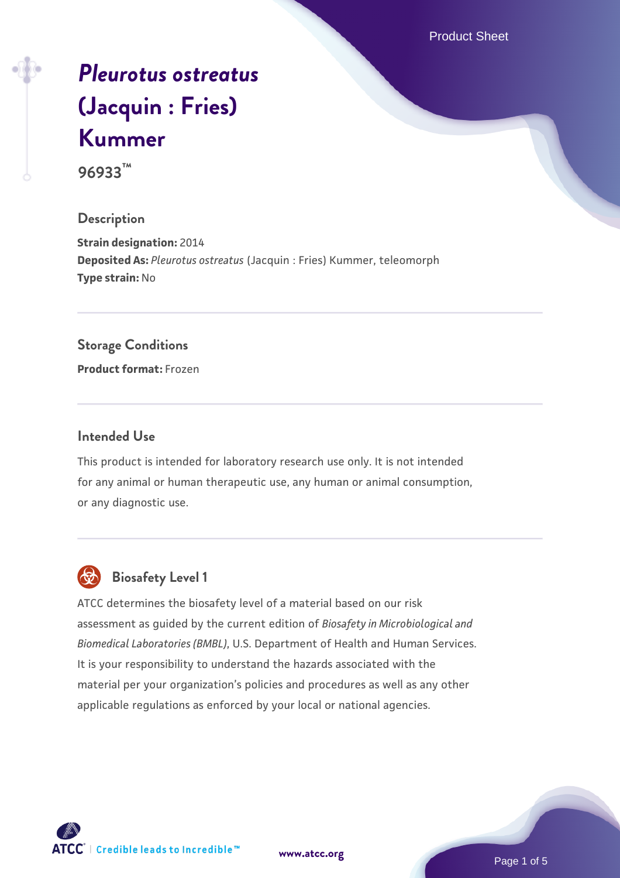Product Sheet

# *[Pleurotus ostreatus](https://www.atcc.org/products/96933)* **[\(Jacquin : Fries\)](https://www.atcc.org/products/96933) [Kummer](https://www.atcc.org/products/96933)**

**96933™**

## **Description**

**Strain designation:** 2014 **Deposited As:** *Pleurotus ostreatus* (Jacquin : Fries) Kummer, teleomorph **Type strain:** No

## **Storage Conditions**

**Product format:** Frozen

## **Intended Use**

This product is intended for laboratory research use only. It is not intended for any animal or human therapeutic use, any human or animal consumption, or any diagnostic use.



## **Biosafety Level 1**

ATCC determines the biosafety level of a material based on our risk assessment as guided by the current edition of *Biosafety in Microbiological and Biomedical Laboratories (BMBL)*, U.S. Department of Health and Human Services. It is your responsibility to understand the hazards associated with the material per your organization's policies and procedures as well as any other applicable regulations as enforced by your local or national agencies.

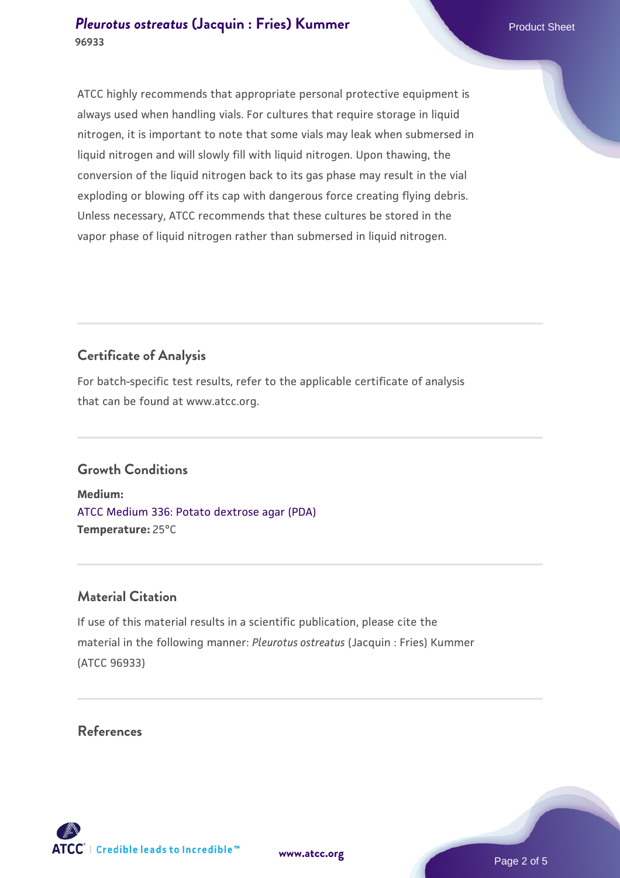#### **[Pleurotus ostreatus](https://www.atcc.org/products/96933) [\(Jacquin : Fries\) Kummer](https://www.atcc.org/products/96933)** Product Sheet **96933**

ATCC highly recommends that appropriate personal protective equipment is always used when handling vials. For cultures that require storage in liquid nitrogen, it is important to note that some vials may leak when submersed in liquid nitrogen and will slowly fill with liquid nitrogen. Upon thawing, the conversion of the liquid nitrogen back to its gas phase may result in the vial exploding or blowing off its cap with dangerous force creating flying debris. Unless necessary, ATCC recommends that these cultures be stored in the vapor phase of liquid nitrogen rather than submersed in liquid nitrogen.

## **Certificate of Analysis**

For batch-specific test results, refer to the applicable certificate of analysis that can be found at www.atcc.org.

## **Growth Conditions**

**Medium:**  [ATCC Medium 336: Potato dextrose agar \(PDA\)](https://www.atcc.org/-/media/product-assets/documents/microbial-media-formulations/3/3/6/atcc-medium-336.pdf?rev=d9160ad44d934cd8b65175461abbf3b9) **Temperature:** 25°C

## **Material Citation**

If use of this material results in a scientific publication, please cite the material in the following manner: *Pleurotus ostreatus* (Jacquin : Fries) Kummer (ATCC 96933)

## **References**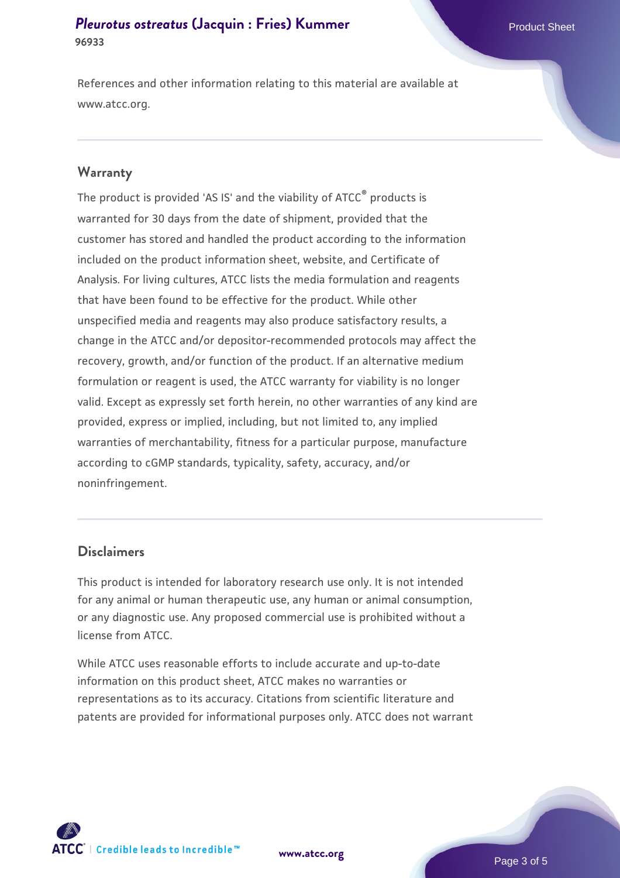#### **[Pleurotus ostreatus](https://www.atcc.org/products/96933) [\(Jacquin : Fries\) Kummer](https://www.atcc.org/products/96933)** Product Sheet **96933**

References and other information relating to this material are available at www.atcc.org.

#### **Warranty**

The product is provided 'AS IS' and the viability of ATCC® products is warranted for 30 days from the date of shipment, provided that the customer has stored and handled the product according to the information included on the product information sheet, website, and Certificate of Analysis. For living cultures, ATCC lists the media formulation and reagents that have been found to be effective for the product. While other unspecified media and reagents may also produce satisfactory results, a change in the ATCC and/or depositor-recommended protocols may affect the recovery, growth, and/or function of the product. If an alternative medium formulation or reagent is used, the ATCC warranty for viability is no longer valid. Except as expressly set forth herein, no other warranties of any kind are provided, express or implied, including, but not limited to, any implied warranties of merchantability, fitness for a particular purpose, manufacture according to cGMP standards, typicality, safety, accuracy, and/or noninfringement.

#### **Disclaimers**

This product is intended for laboratory research use only. It is not intended for any animal or human therapeutic use, any human or animal consumption, or any diagnostic use. Any proposed commercial use is prohibited without a license from ATCC.

While ATCC uses reasonable efforts to include accurate and up-to-date information on this product sheet, ATCC makes no warranties or representations as to its accuracy. Citations from scientific literature and patents are provided for informational purposes only. ATCC does not warrant

**[www.atcc.org](http://www.atcc.org)**



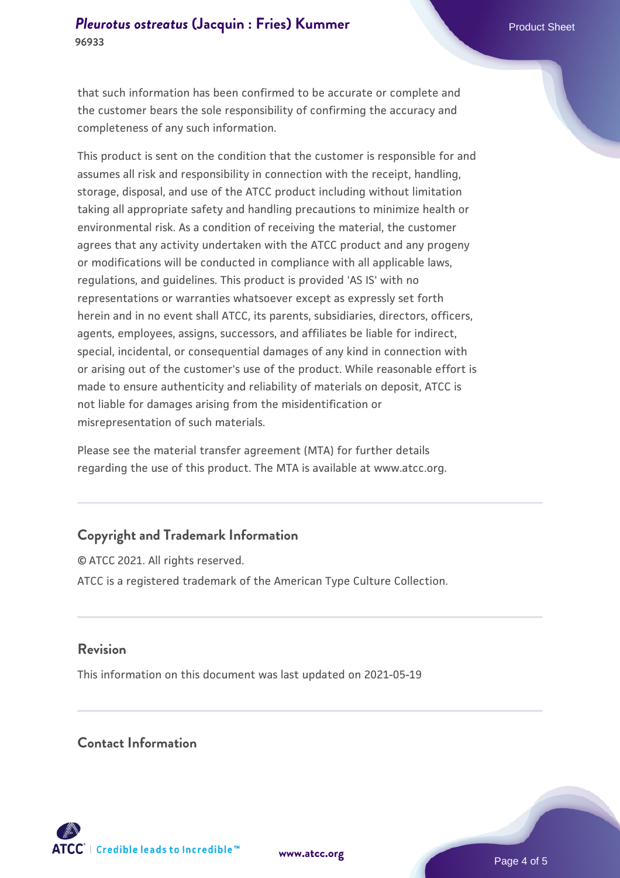that such information has been confirmed to be accurate or complete and the customer bears the sole responsibility of confirming the accuracy and completeness of any such information.

This product is sent on the condition that the customer is responsible for and assumes all risk and responsibility in connection with the receipt, handling, storage, disposal, and use of the ATCC product including without limitation taking all appropriate safety and handling precautions to minimize health or environmental risk. As a condition of receiving the material, the customer agrees that any activity undertaken with the ATCC product and any progeny or modifications will be conducted in compliance with all applicable laws, regulations, and guidelines. This product is provided 'AS IS' with no representations or warranties whatsoever except as expressly set forth herein and in no event shall ATCC, its parents, subsidiaries, directors, officers, agents, employees, assigns, successors, and affiliates be liable for indirect, special, incidental, or consequential damages of any kind in connection with or arising out of the customer's use of the product. While reasonable effort is made to ensure authenticity and reliability of materials on deposit, ATCC is not liable for damages arising from the misidentification or misrepresentation of such materials.

Please see the material transfer agreement (MTA) for further details regarding the use of this product. The MTA is available at www.atcc.org.

## **Copyright and Trademark Information**

© ATCC 2021. All rights reserved. ATCC is a registered trademark of the American Type Culture Collection.

## **Revision**

This information on this document was last updated on 2021-05-19

## **Contact Information**



**[www.atcc.org](http://www.atcc.org)**